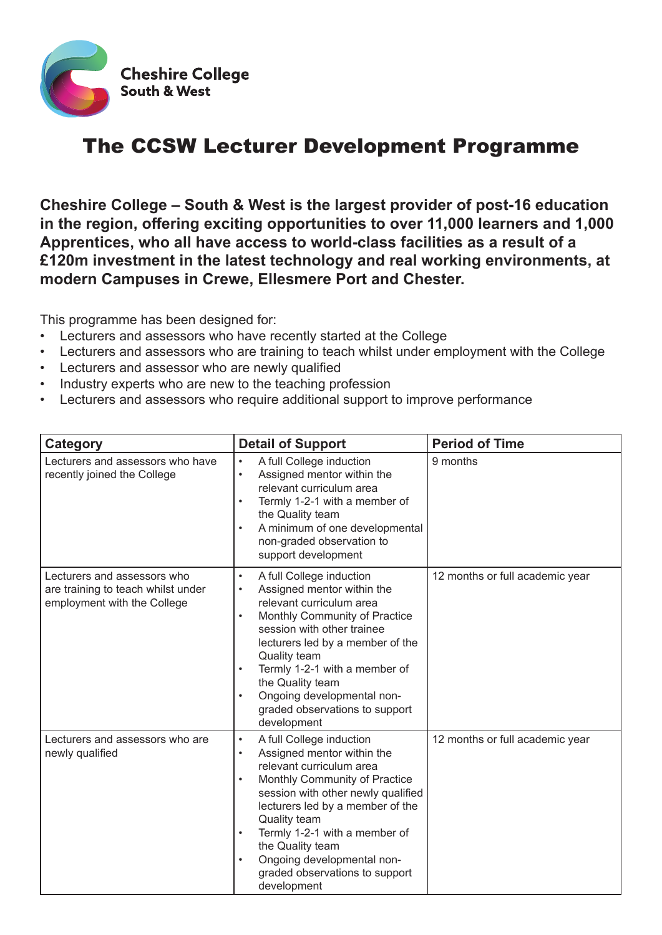

## The CCSW Lecturer Development Programme

**Cheshire College – South & West is the largest provider of post-16 education in the region, offering exciting opportunities to over 11,000 learners and 1,000 Apprentices, who all have access to world-class facilities as a result of a £120m investment in the latest technology and real working environments, at modern Campuses in Crewe, Ellesmere Port and Chester.**

This programme has been designed for:

- Lecturers and assessors who have recently started at the College
- Lecturers and assessors who are training to teach whilst under employment with the College
- Lecturers and assessor who are newly qualified
- Industry experts who are new to the teaching profession
- Lecturers and assessors who require additional support to improve performance

| <b>Category</b>                                                                                  | <b>Detail of Support</b>                                                                                                                                                                                                                                                                                                                                                                                           | <b>Period of Time</b>           |
|--------------------------------------------------------------------------------------------------|--------------------------------------------------------------------------------------------------------------------------------------------------------------------------------------------------------------------------------------------------------------------------------------------------------------------------------------------------------------------------------------------------------------------|---------------------------------|
| Lecturers and assessors who have<br>recently joined the College                                  | A full College induction<br>$\bullet$<br>Assigned mentor within the<br>$\bullet$<br>relevant curriculum area<br>Termly 1-2-1 with a member of<br>$\bullet$<br>the Quality team<br>A minimum of one developmental<br>$\bullet$<br>non-graded observation to<br>support development                                                                                                                                  | 9 months                        |
| Lecturers and assessors who<br>are training to teach whilst under<br>employment with the College | A full College induction<br>$\bullet$<br>Assigned mentor within the<br>$\bullet$<br>relevant curriculum area<br>Monthly Community of Practice<br>$\bullet$<br>session with other trainee<br>lecturers led by a member of the<br><b>Quality team</b><br>Termly 1-2-1 with a member of<br>$\bullet$<br>the Quality team<br>Ongoing developmental non-<br>$\bullet$<br>graded observations to support<br>development  | 12 months or full academic year |
| Lecturers and assessors who are<br>newly qualified                                               | A full College induction<br>$\bullet$<br>Assigned mentor within the<br>$\bullet$<br>relevant curriculum area<br>Monthly Community of Practice<br>$\bullet$<br>session with other newly qualified<br>lecturers led by a member of the<br>Quality team<br>Termly 1-2-1 with a member of<br>$\bullet$<br>the Quality team<br>Ongoing developmental non-<br>$\bullet$<br>graded observations to support<br>development | 12 months or full academic year |